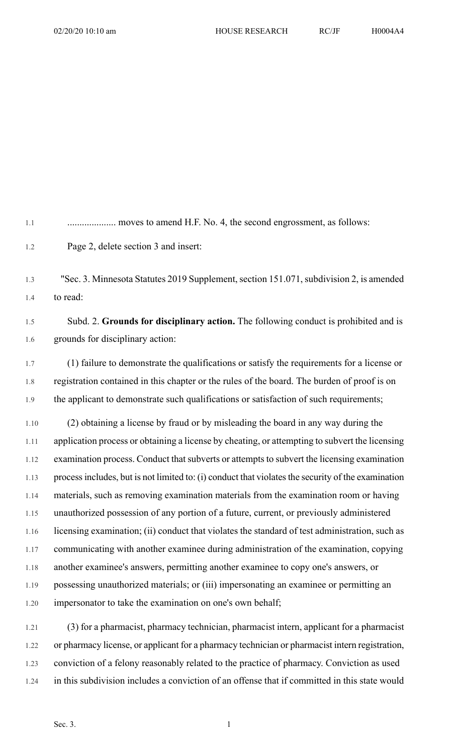| 1.1      |                                                                                                    |
|----------|----------------------------------------------------------------------------------------------------|
| 1.2      | Page 2, delete section 3 and insert:                                                               |
| 1.3      | "Sec. 3. Minnesota Statutes 2019 Supplement, section 151.071, subdivision 2, is amended            |
| 1.4      | to read:                                                                                           |
| 1.5      | Subd. 2. Grounds for disciplinary action. The following conduct is prohibited and is               |
| 1.6      | grounds for disciplinary action:                                                                   |
| 1.7      | (1) failure to demonstrate the qualifications or satisfy the requirements for a license or         |
| 1.8      | registration contained in this chapter or the rules of the board. The burden of proof is on        |
| 1.9      | the applicant to demonstrate such qualifications or satisfaction of such requirements;             |
| 1.10     | (2) obtaining a license by fraud or by misleading the board in any way during the                  |
| $1.11\,$ | application process or obtaining a license by cheating, or attempting to subvert the licensing     |
| 1.12     | examination process. Conduct that subverts or attempts to subvert the licensing examination        |
| 1.13     | process includes, but is not limited to: (i) conduct that violates the security of the examination |
| 1.14     | materials, such as removing examination materials from the examination room or having              |
| 1.15     | unauthorized possession of any portion of a future, current, or previously administered            |
| 1.16     | licensing examination; (ii) conduct that violates the standard of test administration, such as     |
| 1.17     | communicating with another examinee during administration of the examination, copying              |
| 1.18     | another examinee's answers, permitting another examinee to copy one's answers, or                  |
| 1.19     | possessing unauthorized materials; or (iii) impersonating an examinee or permitting an             |
| 1.20     | impersonator to take the examination on one's own behalf;                                          |
| 1.21     | (3) for a pharmacist pharmacy technician pharmacist intern applicant for a pharmacist              |

1.21 (3) for a pharmacist, pharmacy technician, pharmacist intern, applicant for a pharmacist 1.22 or pharmacy license, or applicant for a pharmacy technician or pharmacist intern registration, 1.23 conviction of a felony reasonably related to the practice of pharmacy. Conviction as used 1.24 in this subdivision includes a conviction of an offense that if committed in this state would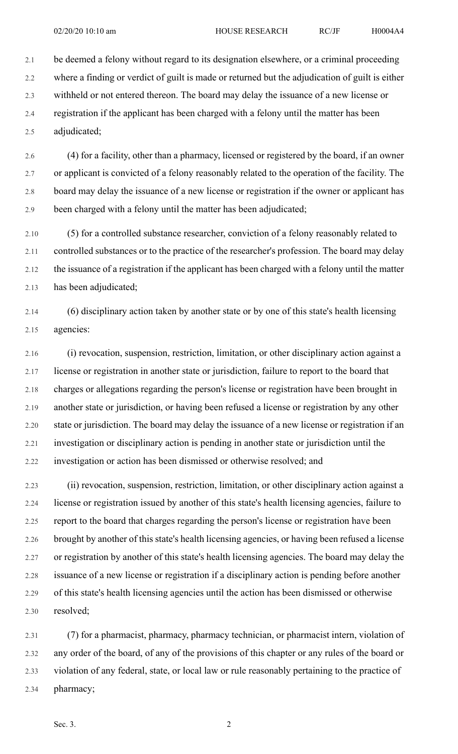2.1 be deemed a felony without regard to its designation elsewhere, or a criminal proceeding 2.2 where a finding or verdict of guilt is made or returned but the adjudication of guilt is either 2.3 withheld or not entered thereon. The board may delay the issuance of a new license or 2.4 registration if the applicant has been charged with a felony until the matter has been 2.5 adjudicated;

2.6 (4) for a facility, other than a pharmacy, licensed or registered by the board, if an owner 2.7 or applicant is convicted of a felony reasonably related to the operation of the facility. The 2.8 board may delay the issuance of a new license or registration if the owner or applicant has 2.9 been charged with a felony until the matter has been adjudicated;

2.10 (5) for a controlled substance researcher, conviction of a felony reasonably related to 2.11 controlled substances or to the practice of the researcher's profession. The board may delay 2.12 the issuance of a registration if the applicant has been charged with a felony until the matter 2.13 has been adjudicated;

2.14 (6) disciplinary action taken by another state or by one of this state's health licensing 2.15 agencies:

2.16 (i) revocation, suspension, restriction, limitation, or other disciplinary action against a 2.17 license or registration in another state or jurisdiction, failure to report to the board that 2.18 charges or allegations regarding the person's license or registration have been brought in 2.19 another state or jurisdiction, or having been refused a license or registration by any other 2.20 state or jurisdiction. The board may delay the issuance of a new license or registration if an 2.21 investigation or disciplinary action is pending in another state or jurisdiction until the 2.22 investigation or action has been dismissed or otherwise resolved; and

2.23 (ii) revocation, suspension, restriction, limitation, or other disciplinary action against a 2.24 license or registration issued by another of this state's health licensing agencies, failure to 2.25 report to the board that charges regarding the person's license or registration have been 2.26 brought by another of this state's health licensing agencies, or having been refused a license 2.27 or registration by another of this state's health licensing agencies. The board may delay the 2.28 issuance of a new license or registration if a disciplinary action is pending before another 2.29 of this state's health licensing agencies until the action has been dismissed or otherwise 2.30 resolved;

2.31 (7) for a pharmacist, pharmacy, pharmacy technician, or pharmacist intern, violation of 2.32 any order of the board, of any of the provisions of this chapter or any rules of the board or 2.33 violation of any federal, state, or local law or rule reasonably pertaining to the practice of 2.34 pharmacy;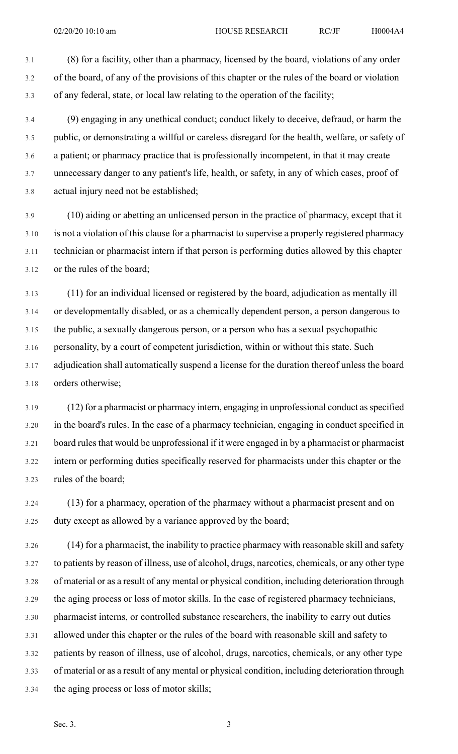3.1 (8) for a facility, other than a pharmacy, licensed by the board, violations of any order 3.2 of the board, of any of the provisions of this chapter or the rules of the board or violation 3.3 of any federal, state, or local law relating to the operation of the facility;

3.4 (9) engaging in any unethical conduct; conduct likely to deceive, defraud, or harm the 3.5 public, or demonstrating a willful or careless disregard for the health, welfare, or safety of 3.6 a patient; or pharmacy practice that is professionally incompetent, in that it may create 3.7 unnecessary danger to any patient's life, health, or safety, in any of which cases, proof of 3.8 actual injury need not be established;

3.9 (10) aiding or abetting an unlicensed person in the practice of pharmacy, except that it 3.10 is not a violation of this clause for a pharmacist to supervise a properly registered pharmacy 3.11 technician or pharmacist intern if that person is performing duties allowed by this chapter 3.12 or the rules of the board;

3.13 (11) for an individual licensed or registered by the board, adjudication as mentally ill 3.14 or developmentally disabled, or as a chemically dependent person, a person dangerous to 3.15 the public, a sexually dangerous person, or a person who has a sexual psychopathic 3.16 personality, by a court of competent jurisdiction, within or without this state. Such 3.17 adjudication shall automatically suspend a license for the duration thereof unless the board 3.18 orders otherwise;

3.19 (12) for a pharmacist or pharmacy intern, engaging in unprofessional conduct asspecified 3.20 in the board's rules. In the case of a pharmacy technician, engaging in conduct specified in 3.21 board rules that would be unprofessional if it were engaged in by a pharmacist or pharmacist 3.22 intern or performing duties specifically reserved for pharmacists under this chapter or the 3.23 rules of the board;

3.24 (13) for a pharmacy, operation of the pharmacy without a pharmacist present and on 3.25 duty except as allowed by a variance approved by the board;

3.26 (14) for a pharmacist, the inability to practice pharmacy with reasonable skill and safety 3.27 to patients by reason of illness, use of alcohol, drugs, narcotics, chemicals, or any other type 3.28 of material or as a result of any mental or physical condition, including deterioration through 3.29 the aging process or loss of motor skills. In the case of registered pharmacy technicians, 3.30 pharmacist interns, or controlled substance researchers, the inability to carry out duties 3.31 allowed under this chapter or the rules of the board with reasonable skill and safety to 3.32 patients by reason of illness, use of alcohol, drugs, narcotics, chemicals, or any other type 3.33 of material or as a result of any mental or physical condition, including deterioration through 3.34 the aging process or loss of motor skills;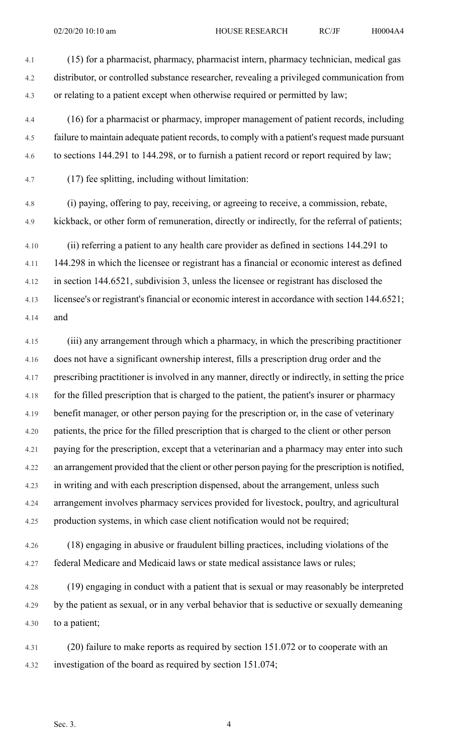4.1 (15) for a pharmacist, pharmacy, pharmacist intern, pharmacy technician, medical gas 4.2 distributor, or controlled substance researcher, revealing a privileged communication from 4.3 or relating to a patient except when otherwise required or permitted by law;

4.4 (16) for a pharmacist or pharmacy, improper management of patient records, including 4.5 failure to maintain adequate patient records, to comply with a patient's request made pursuant 4.6 to sections 144.291 to 144.298, or to furnish a patient record or report required by law;

4.7 (17) fee splitting, including without limitation:

4.8 (i) paying, offering to pay, receiving, or agreeing to receive, a commission, rebate, 4.9 kickback, or other form of remuneration, directly or indirectly, for the referral of patients;

4.10 (ii) referring a patient to any health care provider as defined in sections 144.291 to 4.11 144.298 in which the licensee or registrant has a financial or economic interest as defined 4.12 in section 144.6521, subdivision 3, unless the licensee or registrant has disclosed the 4.13 licensee's or registrant's financial or economic interest in accordance with section 144.6521; 4.14 and

4.15 (iii) any arrangement through which a pharmacy, in which the prescribing practitioner 4.16 does not have a significant ownership interest, fills a prescription drug order and the 4.17 prescribing practitioner is involved in any manner, directly or indirectly, in setting the price 4.18 for the filled prescription that is charged to the patient, the patient's insurer or pharmacy 4.19 benefit manager, or other person paying for the prescription or, in the case of veterinary 4.20 patients, the price for the filled prescription that is charged to the client or other person 4.21 paying for the prescription, except that a veterinarian and a pharmacy may enter into such 4.22 an arrangement provided that the client or other person paying for the prescription is notified, 4.23 in writing and with each prescription dispensed, about the arrangement, unless such 4.24 arrangement involves pharmacy services provided for livestock, poultry, and agricultural 4.25 production systems, in which case client notification would not be required;

4.26 (18) engaging in abusive or fraudulent billing practices, including violations of the 4.27 federal Medicare and Medicaid laws or state medical assistance laws or rules;

4.28 (19) engaging in conduct with a patient that is sexual or may reasonably be interpreted 4.29 by the patient as sexual, or in any verbal behavior that is seductive or sexually demeaning 4.30 to a patient;

4.31 (20) failure to make reports as required by section 151.072 or to cooperate with an 4.32 investigation of the board as required by section 151.074;